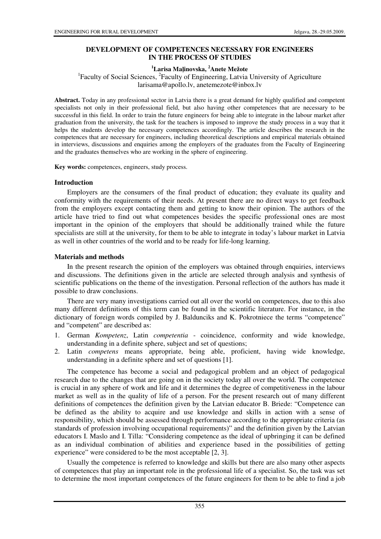## **DEVELOPMENT OF COMPETENCES NECESSARY FOR ENGINEERS IN THE PROCESS OF STUDIES**

# **<sup>1</sup>Larisa Ma**ļ**inovska, <sup>2</sup>Anete Mežote**

<sup>1</sup>Faculty of Social Sciences, <sup>2</sup>Faculty of Engineering, Latvia University of Agriculture larisama@apollo.lv, anetemezote@inbox.lv

**Abstract.** Today in any professional sector in Latvia there is a great demand for highly qualified and competent specialists not only in their professional field, but also having other competences that are necessary to be successful in this field. In order to train the future engineers for being able to integrate in the labour market after graduation from the university, the task for the teachers is imposed to improve the study process in a way that it helps the students develop the necessary competences accordingly. The article describes the research in the competences that are necessary for engineers, including theoretical descriptions and empirical materials obtained in interviews, discussions and enquiries among the employers of the graduates from the Faculty of Engineering and the graduates themselves who are working in the sphere of engineering.

**Key words:** competences, engineers, study process.

#### **Introduction**

Employers are the consumers of the final product of education; they evaluate its quality and conformity with the requirements of their needs. At present there are no direct ways to get feedback from the employers except contacting them and getting to know their opinion. The authors of the article have tried to find out what competences besides the specific professional ones are most important in the opinion of the employers that should be additionally trained while the future specialists are still at the university, for them to be able to integrate in today's labour market in Latvia as well in other countries of the world and to be ready for life-long learning.

#### **Materials and methods**

In the present research the opinion of the employers was obtained through enquiries, interviews and discussions. The definitions given in the article are selected through analysis and synthesis of scientific publications on the theme of the investigation. Personal reflection of the authors has made it possible to draw conclusions.

There are very many investigations carried out all over the world on competences, due to this also many different definitions of this term can be found in the scientific literature. For instance, in the dictionary of foreign words compiled by J. Baldunciks and K. Pokrotniece the terms "competence" and "competent" are described as:

- 1. German *Kompetenz*, Latin *competentia* coincidence, conformity and wide knowledge, understanding in a definite sphere, subject and set of questions;
- 2. Latin *competens* means appropriate, being able, proficient, having wide knowledge, understanding in a definite sphere and set of questions [1].

The competence has become a social and pedagogical problem and an object of pedagogical research due to the changes that are going on in the society today all over the world. The competence is crucial in any sphere of work and life and it determines the degree of competitiveness in the labour market as well as in the quality of life of a person. For the present research out of many different definitions of competences the definition given by the Latvian educator B. Briede: "Competence can be defined as the ability to acquire and use knowledge and skills in action with a sense of responsibility, which should be assessed through performance according to the appropriate criteria (as standards of profession involving occupational requirements)" and the definition given by the Latvian educators I. Maslo and I. Tilla: "Considering competence as the ideal of upbringing it can be defined as an individual combination of abilities and experience based in the possibilities of getting experience" were considered to be the most acceptable [2, 3].

Usually the competence is referred to knowledge and skills but there are also many other aspects of competences that play an important role in the professional life of a specialist. So, the task was set to determine the most important competences of the future engineers for them to be able to find a job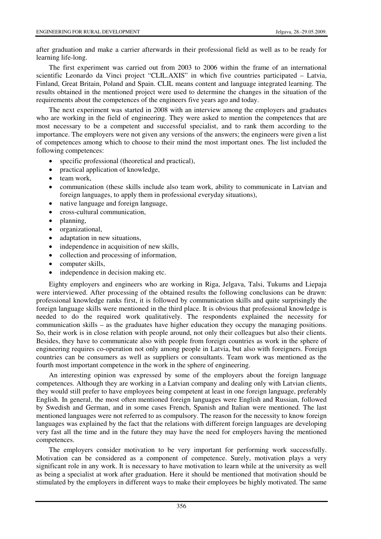after graduation and make a carrier afterwards in their professional field as well as to be ready for learning life-long.

The first experiment was carried out from 2003 to 2006 within the frame of an international scientific Leonardo da Vinci project "CLIL.AXIS" in which five countries participated – Latvia, Finland, Great Britain, Poland and Spain. CLIL means content and language integrated learning. The results obtained in the mentioned project were used to determine the changes in the situation of the requirements about the competences of the engineers five years ago and today.

The next experiment was started in 2008 with an interview among the employers and graduates who are working in the field of engineering. They were asked to mention the competences that are most necessary to be a competent and successful specialist, and to rank them according to the importance. The employers were not given any versions of the answers; the engineers were given a list of competences among which to choose to their mind the most important ones. The list included the following competences:

- specific professional (theoretical and practical),
- practical application of knowledge,
- team work,
- communication (these skills include also team work, ability to communicate in Latvian and foreign languages, to apply them in professional everyday situations),
- native language and foreign language,
- cross-cultural communication,
- planning,
- organizational,
- adaptation in new situations.
- independence in acquisition of new skills,
- collection and processing of information,
- computer skills,
- independence in decision making etc.

Eighty employers and engineers who are working in Riga, Jelgava, Talsi, Tukums and Liepaja were interviewed. After processing of the obtained results the following conclusions can be drawn: professional knowledge ranks first, it is followed by communication skills and quite surprisingly the foreign language skills were mentioned in the third place. It is obvious that professional knowledge is needed to do the required work qualitatively. The respondents explained the necessity for communication skills – as the graduates have higher education they occupy the managing positions. So, their work is in close relation with people around, not only their colleagues but also their clients. Besides, they have to communicate also with people from foreign countries as work in the sphere of engineering requires co-operation not only among people in Latvia, but also with foreigners. Foreign countries can be consumers as well as suppliers or consultants. Team work was mentioned as the fourth most important competence in the work in the sphere of engineering.

An interesting opinion was expressed by some of the employers about the foreign language competences. Although they are working in a Latvian company and dealing only with Latvian clients, they would still prefer to have employees being competent at least in one foreign language, preferably English. In general, the most often mentioned foreign languages were English and Russian, followed by Swedish and German, and in some cases French, Spanish and Italian were mentioned. The last mentioned languages were not referred to as compulsory. The reason for the necessity to know foreign languages was explained by the fact that the relations with different foreign languages are developing very fast all the time and in the future they may have the need for employers having the mentioned competences.

The employers consider motivation to be very important for performing work successfully. Motivation can be considered as a component of competence. Surely, motivation plays a very significant role in any work. It is necessary to have motivation to learn while at the university as well as being a specialist at work after graduation. Here it should be mentioned that motivation should be stimulated by the employers in different ways to make their employees be highly motivated. The same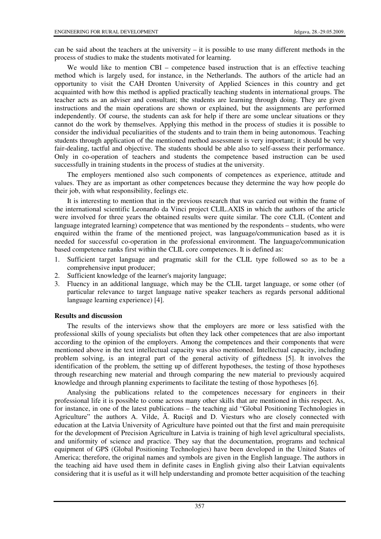can be said about the teachers at the university – it is possible to use many different methods in the process of studies to make the students motivated for learning.

We would like to mention CBI – competence based instruction that is an effective teaching method which is largely used, for instance, in the Netherlands. The authors of the article had an opportunity to visit the CAH Dronten University of Applied Sciences in this country and get acquainted with how this method is applied practically teaching students in international groups. The teacher acts as an adviser and consultant; the students are learning through doing. They are given instructions and the main operations are shown or explained, but the assignments are performed independently. Of course, the students can ask for help if there are some unclear situations or they cannot do the work by themselves. Applying this method in the process of studies it is possible to consider the individual peculiarities of the students and to train them in being autonomous. Teaching students through application of the mentioned method assessment is very important; it should be very fair-dealing, tactful and objective. The students should be able also to self-assess their performance. Only in co-operation of teachers and students the competence based instruction can be used successfully in training students in the process of studies at the university.

The employers mentioned also such components of competences as experience, attitude and values. They are as important as other competences because they determine the way how people do their job, with what responsibility, feelings etc.

It is interesting to mention that in the previous research that was carried out within the frame of the international scientific Leonardo da Vinci project CLIL.AXIS in which the authors of the article were involved for three years the obtained results were quite similar. The core CLIL (Content and language integrated learning) competence that was mentioned by the respondents – students, who were enquired within the frame of the mentioned project, was language/communication based as it is needed for successful co-operation in the professional environment. The language/communication based competence ranks first within the CLIL core competences. It is defined as:

- 1. Sufficient target language and pragmatic skill for the CLIL type followed so as to be a comprehensive input producer;
- 2. Sufficient knowledge of the learner's majority language;
- 3. Fluency in an additional language, which may be the CLIL target language, or some other (of particular relevance to target language native speaker teachers as regards personal additional language learning experience) [4].

### **Results and discussion**

The results of the interviews show that the employers are more or less satisfied with the professional skills of young specialists but often they lack other competences that are also important according to the opinion of the employers. Among the competences and their components that were mentioned above in the text intellectual capacity was also mentioned. Intellectual capacity, including problem solving, is an integral part of the general activity of giftedness [5]. It involves the identification of the problem, the setting up of different hypotheses, the testing of those hypotheses through researching new material and through comparing the new material to previously acquired knowledge and through planning experiments to facilitate the testing of those hypotheses [6].

Analysing the publications related to the competences necessary for engineers in their professional life it is possible to come across many other skills that are mentioned in this respect. As, for instance, in one of the latest publications – the teaching aid "Global Positioning Technologies in Agriculture" the authors A. Vilde, Ā. Ruciņš and D. Viesturs who are closely connected with education at the Latvia University of Agriculture have pointed out that the first and main prerequisite for the development of Precision Agriculture in Latvia is training of high level agricultural specialists, and uniformity of science and practice. They say that the documentation, programs and technical equipment of GPS (Global Positioning Technologies) have been developed in the United States of America; therefore, the original names and symbols are given in the English language. The authors in the teaching aid have used them in definite cases in English giving also their Latvian equivalents considering that it is useful as it will help understanding and promote better acquisition of the teaching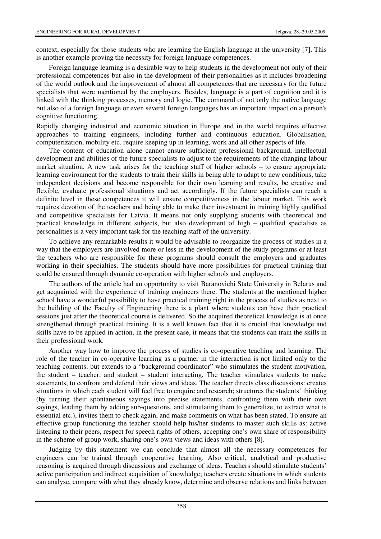context, especially for those students who are learning the English language at the university [7]. This is another example proving the necessity for foreign language competences.

Foreign language learning is a desirable way to help students in the development not only of their professional competences but also in the development of their personalities as it includes broadening of the world outlook and the improvement of almost all competences that are necessary for the future specialists that were mentioned by the employers. Besides, language is a part of cognition and it is linked with the thinking processes, memory and logic. The command of not only the native language but also of a foreign language or even several foreign languages has an important impact on a person's cognitive functioning.

Rapidly changing industrial and economic situation in Europe and in the world requires effective approaches to training engineers, including further and continuous education. Globalisation, computerization, mobility etc. require keeping up in learning, work and all other aspects of life.

The content of education alone cannot ensure sufficient professional background, intellectual development and abilities of the future specialists to adjust to the requirements of the changing labour market situation. A new task arises for the teaching staff of higher schools – to ensure appropriate learning environment for the students to train their skills in being able to adapt to new conditions, take independent decisions and become responsible for their own learning and results, be creative and flexible, evaluate professional situations and act accordingly. If the future specialists can reach a definite level in these competences it will ensure competitiveness in the labour market. This work requires devotion of the teachers and being able to make their investment in training highly qualified and competitive specialists for Latvia. It means not only supplying students with theoretical and practical knowledge in different subjects, but also development of high – qualified specialists as personalities is a very important task for the teaching staff of the university.

To achieve any remarkable results it would be advisable to reorganize the process of studies in a way that the employers are involved more or less in the development of the study programs or at least the teachers who are responsible for these programs should consult the employers and graduates working in their specialties. The students should have more possibilities for practical training that could be ensured through dynamic co-operation with higher schools and employers.

The authors of the article had an opportunity to visit Baranovichi State University in Belarus and get acquainted with the experience of training engineers there. The students at the mentioned higher school have a wonderful possibility to have practical training right in the process of studies as next to the building of the Faculty of Engineering there is a plant where students can have their practical sessions just after the theoretical course is delivered. So the acquired theoretical knowledge is at once strengthened through practical training. It is a well known fact that it is crucial that knowledge and skills have to be applied in action, in the present case, it means that the students can train the skills in their professional work.

Another way how to improve the process of studies is co-operative teaching and learning. The role of the teacher in co-operative learning as a partner in the interaction is not limited only to the teaching contents, but extends to a "background coordinator" who stimulates the student motivation, the student – teacher, and student – student interacting. The teacher stimulates students to make statements, to confront and defend their views and ideas. The teacher directs class discussions: creates situations in which each student will feel free to enquire and research; structures the students' thinking (by turning their spontaneous sayings into precise statements, confronting them with their own sayings, leading them by adding sub-questions, and stimulating them to generalize, to extract what is essential etc.), invites them to check again, and make comments on what has been stated. To ensure an effective group functioning the teacher should help his/her students to master such skills as: active listening to their peers, respect for speech rights of others, accepting one's own share of responsibility in the scheme of group work, sharing one's own views and ideas with others [8].

Judging by this statement we can conclude that almost all the necessary competences for engineers can be trained through cooperative learning. Also critical, analytical and productive reasoning is acquired through discussions and exchange of ideas. Teachers should stimulate students' active participation and indirect acquisition of knowledge; teachers create situations in which students can analyse, compare with what they already know, determine and observe relations and links between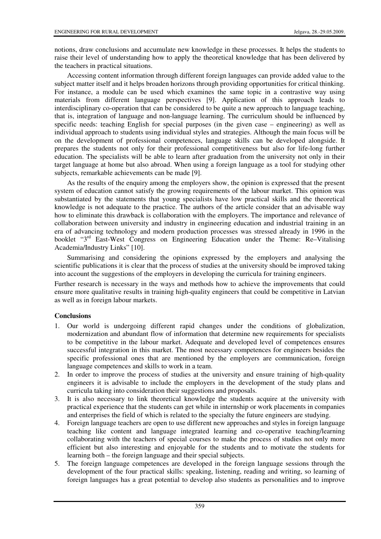notions, draw conclusions and accumulate new knowledge in these processes. It helps the students to raise their level of understanding how to apply the theoretical knowledge that has been delivered by the teachers in practical situations.

Accessing content information through different foreign languages can provide added value to the subject matter itself and it helps broaden horizons through providing opportunities for critical thinking. For instance, a module can be used which examines the same topic in a contrastive way using materials from different language perspectives [9]. Application of this approach leads to interdisciplinary co-operation that can be considered to be quite a new approach to language teaching, that is, integration of language and non-language learning. The curriculum should be influenced by specific needs: teaching English for special purposes (in the given case – engineering) as well as individual approach to students using individual styles and strategies. Although the main focus will be on the development of professional competences, language skills can be developed alongside. It prepares the students not only for their professional competitiveness but also for life-long further education. The specialists will be able to learn after graduation from the university not only in their target language at home but also abroad. When using a foreign language as a tool for studying other subjects, remarkable achievements can be made [9].

As the results of the enquiry among the employers show, the opinion is expressed that the present system of education cannot satisfy the growing requirements of the labour market. This opinion was substantiated by the statements that young specialists have low practical skills and the theoretical knowledge is not adequate to the practice. The authors of the article consider that an advisable way how to eliminate this drawback is collaboration with the employers. The importance and relevance of collaboration between university and industry in engineering education and industrial training in an era of advancing technology and modern production processes was stressed already in 1996 in the booklet "3rd East-West Congress on Engineering Education under the Theme: Re–Vitalising Academia/Industry Links" [10].

Summarising and considering the opinions expressed by the employers and analysing the scientific publications it is clear that the process of studies at the university should be improved taking into account the suggestions of the employers in developing the curricula for training engineers.

Further research is necessary in the ways and methods how to achieve the improvements that could ensure more qualitative results in training high-quality engineers that could be competitive in Latvian as well as in foreign labour markets.

# **Conclusions**

- 1. Our world is undergoing different rapid changes under the conditions of globalization, modernization and abundant flow of information that determine new requirements for specialists to be competitive in the labour market. Adequate and developed level of competences ensures successful integration in this market. The most necessary competences for engineers besides the specific professional ones that are mentioned by the employers are communication, foreign language competences and skills to work in a team.
- 2. In order to improve the process of studies at the university and ensure training of high-quality engineers it is advisable to include the employers in the development of the study plans and curricula taking into consideration their suggestions and proposals.
- 3. It is also necessary to link theoretical knowledge the students acquire at the university with practical experience that the students can get while in internship or work placements in companies and enterprises the field of which is related to the specialty the future engineers are studying.
- 4. Foreign language teachers are open to use different new approaches and styles in foreign language teaching like content and language integrated learning and co-operative teaching/learning collaborating with the teachers of special courses to make the process of studies not only more efficient but also interesting and enjoyable for the students and to motivate the students for learning both – the foreign language and their special subjects.
- 5. The foreign language competences are developed in the foreign language sessions through the development of the four practical skills: speaking, listening, reading and writing, so learning of foreign languages has a great potential to develop also students as personalities and to improve